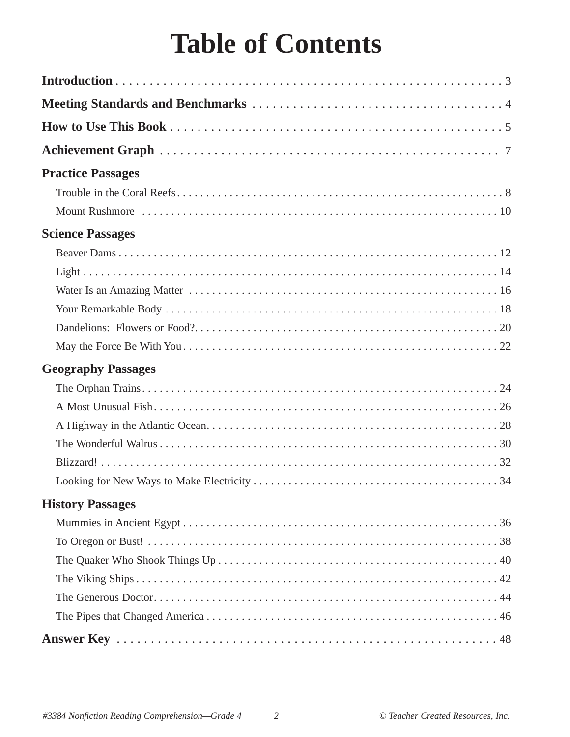# **Table of Contents**

| <b>Practice Passages</b>  |
|---------------------------|
|                           |
|                           |
| <b>Science Passages</b>   |
|                           |
|                           |
|                           |
|                           |
|                           |
|                           |
| <b>Geography Passages</b> |
|                           |
|                           |
|                           |
|                           |
|                           |
|                           |
| <b>History Passages</b>   |
|                           |
|                           |
|                           |
|                           |
|                           |
|                           |
|                           |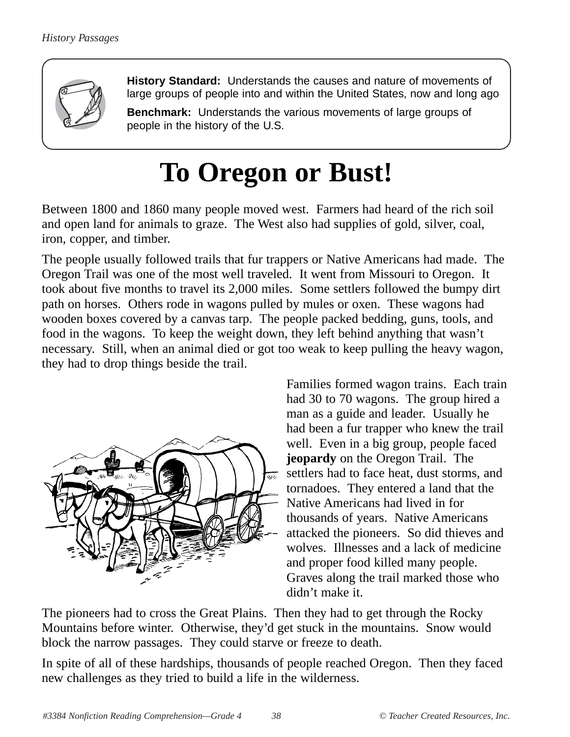

**History Standard:** Understands the causes and nature of movements of large groups of people into and within the United States, now and long ago

**Benchmark:** Understands the various movements of large groups of people in the history of the U.S.

### **To Oregon or Bust!**

Between 1800 and 1860 many people moved west. Farmers had heard of the rich soil and open land for animals to graze. The West also had supplies of gold, silver, coal, iron, copper, and timber.

The people usually followed trails that fur trappers or Native Americans had made. The Oregon Trail was one of the most well traveled. It went from Missouri to Oregon. It took about five months to travel its 2,000 miles. Some settlers followed the bumpy dirt path on horses. Others rode in wagons pulled by mules or oxen. These wagons had wooden boxes covered by a canvas tarp. The people packed bedding, guns, tools, and food in the wagons. To keep the weight down, they left behind anything that wasn't necessary. Still, when an animal died or got too weak to keep pulling the heavy wagon, they had to drop things beside the trail.



Families formed wagon trains. Each train had 30 to 70 wagons. The group hired a man as a guide and leader. Usually he had been a fur trapper who knew the trail well. Even in a big group, people faced **jeopardy** on the Oregon Trail. The settlers had to face heat, dust storms, and tornadoes. They entered a land that the Native Americans had lived in for thousands of years. Native Americans attacked the pioneers. So did thieves and wolves. Illnesses and a lack of medicine and proper food killed many people. Graves along the trail marked those who didn't make it.

The pioneers had to cross the Great Plains. Then they had to get through the Rocky Mountains before winter. Otherwise, they'd get stuck in the mountains. Snow would block the narrow passages. They could starve or freeze to death.

In spite of all of these hardships, thousands of people reached Oregon. Then they faced new challenges as they tried to build a life in the wilderness.